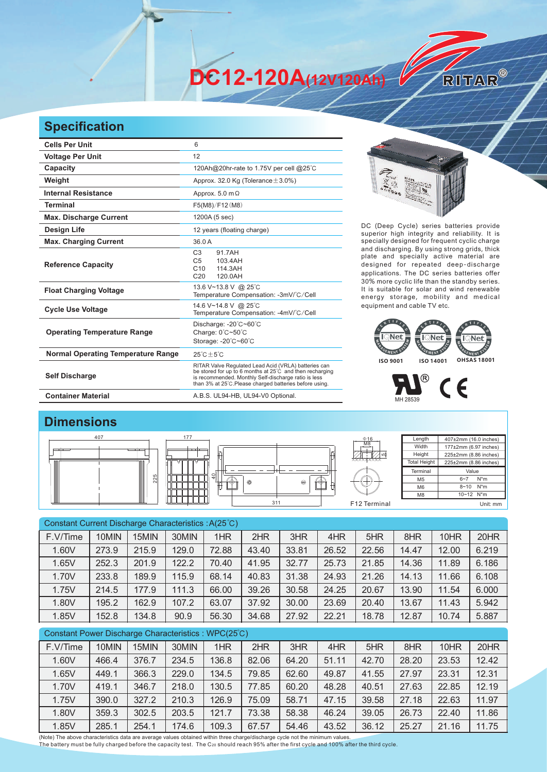**DC12-120A(12V120Ah)** 

## **Specification**

| <b>Cells Per Unit</b>                     | 6                                                                                                                                                                                                                                   |  |  |  |  |  |
|-------------------------------------------|-------------------------------------------------------------------------------------------------------------------------------------------------------------------------------------------------------------------------------------|--|--|--|--|--|
| <b>Voltage Per Unit</b>                   | 12                                                                                                                                                                                                                                  |  |  |  |  |  |
| Capacity                                  | 120Ah@20hr-rate to 1.75V per cell @25°C                                                                                                                                                                                             |  |  |  |  |  |
| Weight                                    | Approx. 32.0 Kg (Tolerance $\pm$ 3.0%)                                                                                                                                                                                              |  |  |  |  |  |
| <b>Internal Resistance</b>                | Approx. $5.0 \text{ m}\Omega$                                                                                                                                                                                                       |  |  |  |  |  |
| <b>Terminal</b>                           | F5(M8)/F12(M8)                                                                                                                                                                                                                      |  |  |  |  |  |
| <b>Max. Discharge Current</b>             | 1200A (5 sec)                                                                                                                                                                                                                       |  |  |  |  |  |
| <b>Design Life</b>                        | 12 years (floating charge)                                                                                                                                                                                                          |  |  |  |  |  |
| <b>Max. Charging Current</b>              | 36.0 A                                                                                                                                                                                                                              |  |  |  |  |  |
| <b>Reference Capacity</b>                 | C <sub>3</sub><br>91 7 A H<br>103.4AH<br>C <sub>5</sub><br>C10<br>114.3AH<br>C <sub>20</sub><br>120.0AH                                                                                                                             |  |  |  |  |  |
| <b>Float Charging Voltage</b>             | 13.6 V~13.8 V @ 25°C<br>Temperature Compensation: -3mV/°C/Cell                                                                                                                                                                      |  |  |  |  |  |
| <b>Cycle Use Voltage</b>                  | 14.6 V~14.8 V @ 25°C<br>Temperature Compensation: -4mV/°C/Cell                                                                                                                                                                      |  |  |  |  |  |
| <b>Operating Temperature Range</b>        | Discharge: $-20^{\circ}$ C $-60^{\circ}$ C<br>Charge: 0°C~50°C<br>Storage: -20°C~60°C                                                                                                                                               |  |  |  |  |  |
| <b>Normal Operating Temperature Range</b> | $25^{\circ}$ C + 5 $^{\circ}$ C                                                                                                                                                                                                     |  |  |  |  |  |
| <b>Self Discharge</b>                     | RITAR Valve Regulated Lead Acid (VRLA) batteries can<br>be stored for up to 6 months at 25°C and then recharging<br>is recommended. Monthly Self-discharge ratio is less<br>than 3% at 25°C. Please charged batteries before using. |  |  |  |  |  |
| <b>Container Material</b>                 | A.B.S. UL94-HB, UL94-V0 Optional.                                                                                                                                                                                                   |  |  |  |  |  |



RITAR®

DC (Deep Cycle) series batteries provide superior high integrity and reliability. It is specially designed for frequent cyclic charge and discharging. By using strong grids, thick plate and specially active material are designed for repeated deep-discharge applications. The DC series batteries offer 30% more cyclic life than the standby series. It is suitable for solar and wind renewable energy storage, mobility and medical equipment and cable TV etc.



MH 28539



| Constant Current Discharge Characteristics: A(25°C) |                               |       |       |       |       |       |       |       |       |              |       |
|-----------------------------------------------------|-------------------------------|-------|-------|-------|-------|-------|-------|-------|-------|--------------|-------|
| F.V/Time                                            | 10MIN                         | 15MIN | 30MIN | 1HR   | 2HR   | 3HR   | 4HR   | 5HR   | 8HR   | 10HR         | 20HR  |
| 1.60V                                               | 273.9                         | 215.9 | 129.0 | 72.88 | 43.40 | 33.81 | 26.52 | 22.56 | 14.47 | 12.00        | 6.219 |
| 1.65V                                               | 252.3                         | 201.9 | 122.2 | 70.40 | 41.95 | 32.77 | 25.73 | 21.85 | 14.36 | 11.89        | 6.186 |
| 1.70V                                               | 233.8                         | 189.9 | 115.9 | 68.14 | 40.83 | 31.38 | 24.93 | 21.26 | 14.13 | 11.66        | 6.108 |
| 1.75V                                               | 214.5                         | 177.9 | 111.3 | 66.00 | 39.26 | 30.58 | 24.25 | 20.67 | 13.90 | 11.54        | 6.000 |
| 1.80V                                               | 195.2                         | 162.9 | 107.2 | 63.07 | 37.92 | 30.00 | 23.69 | 20.40 | 13.67 | 11.43        | 5.942 |
| 1.85V                                               | 152.8                         | 134.8 | 90.9  | 56.30 | 34.68 | 27.92 | 22.21 | 18.78 | 12.87 | 10.74        | 5.887 |
| Constant Power Discharge Characteristics: WPC(25°C) |                               |       |       |       |       |       |       |       |       |              |       |
| F.V/Time                                            | 10MIN                         | 15MIN | 30MIN | 1HR   | 2HR   | 3HR   | 4HR   | 5HR   | 8HR   | 10HR         | 20HR  |
| 1.60V                                               | 466.4                         | 376.7 | 234.5 | 136.8 | 82.06 | 64.20 | 51.11 | 42.70 | 28.20 | 23.53        | 12.42 |
| $4$ CEVI                                            | $\Lambda$ $\Lambda$ $\Lambda$ | 20000 | റററ വ | 401E  | 70.05 | co co | AOO7  | 14E   | 27.07 | <b>OQ 04</b> | 10.01 |

1.65V 449.1 366.3 229.0 134.5 79.85 62.60 49.87 41.55 27.97 23.31 12.31 1.70V | 419.1 | 346.7 | 218.0 | 130.5 | 77.85 | 60.20 | 48.28 | 40.51 | 27.63 | 22.85 | 12.19 1.75V | 390.0 | 327.2 | 210.3 | 126.9 | 75.09 | 58.71 | 47.15 | 39.58 | 27.18 | 22.63 | 11.97 1.80V 359.3 302.5 203.5 121.7 73.38 58.38 46.24 39.05 26.73 22.40 11.86 1.85V | 285.1 | 254.1 | 174.6 | 109.3 | 67.57 | 54.46 | 43.52 | 36.12 | 25.27 | 21.16 | 11.75

(Note) The above characteristics data are average values obtained within three charge/discharge cycle not the minimum values.<br>The battery must be fully charged before the capacity test. The C20 should reach 95% after the